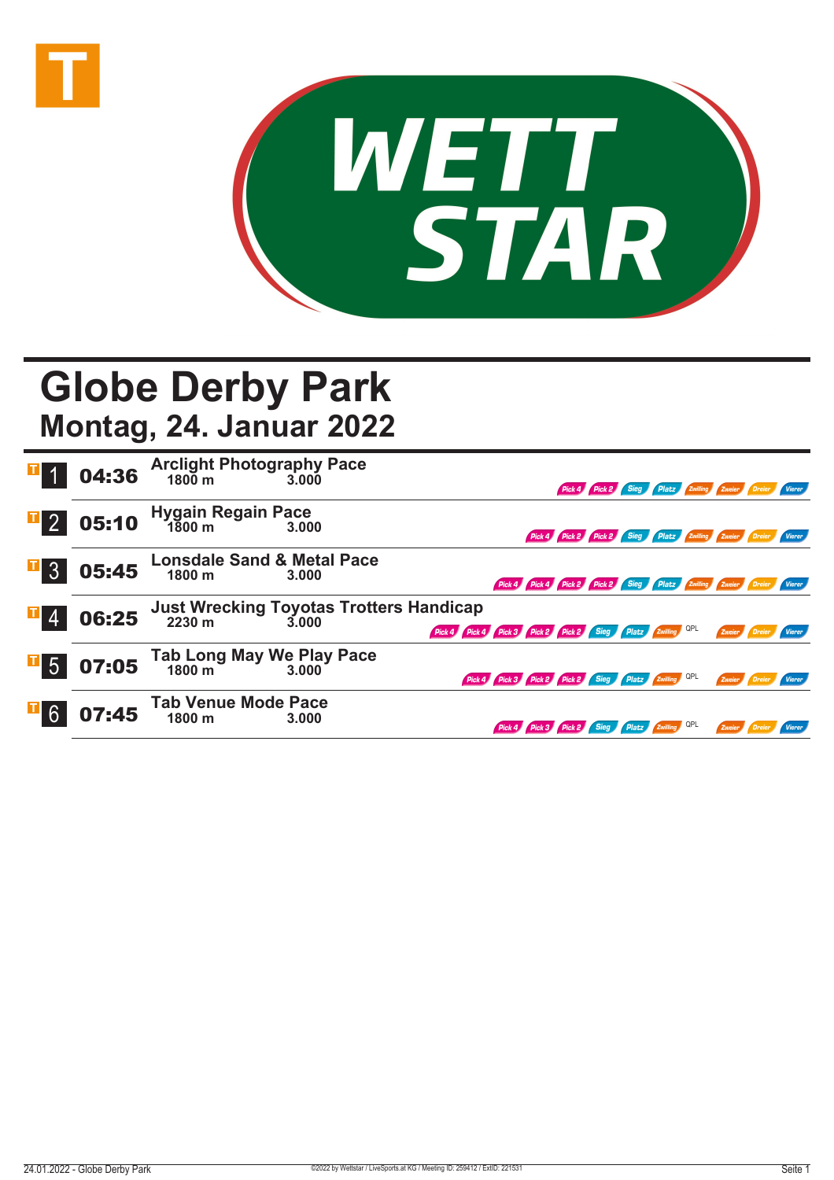



## **Globe Derby Park**

**Montag, 24. Januar 2022**

|                  |       | <b>04:36</b> Arclight Photography Pace<br>3.000 3.000    |       |                                                            |  |  | Pick 4 Pick 2 Sieg Platz Zwilling Zweier Dreier Vierer               |        |                      |  |
|------------------|-------|----------------------------------------------------------|-------|------------------------------------------------------------|--|--|----------------------------------------------------------------------|--------|----------------------|--|
| $\overline{1}$ 2 | 05:10 | Hygain Regain Pace<br>1800 m 3.00                        | 3.000 |                                                            |  |  | Pick 4 Pick 2 Pick 2 Sieg Platz Zwilling Zweier Dreier Vierer        |        |                      |  |
| $\overline{1}$ 3 | 05:45 | <b>Lonsdale Sand &amp; Metal Pace</b><br>1800 m          | 3.000 |                                                            |  |  | Pick 4 Pick 4 Pick 2 Pick 2 Sieg Platz Zwilling Zweier Dreier Vierer |        |                      |  |
| $\mathbf{F}$ 4   | 06:25 | <b>Just Wrecking Toyotas Trotters Handicap</b><br>2230 m | 3.000 | Pick 4 Pick 4 Pick 3 Pick 2 Pick 2 Sieg Platz Zwilling QPL |  |  |                                                                      |        | Zweier Dreier Vierer |  |
| $\overline{1}$ 5 | 07:05 | Tab Long May We Play Pace<br>1800 m<br>3.000             |       | Pick 4 Pick 3 Pick 2 Pick 2 Sieg Platz 2willing QPL        |  |  |                                                                      |        | Zweier Dreier Vierer |  |
| $\mathbf{F}$ 6   | 07:45 | <b>Tab Venue Mode Pace</b><br>1800 m                     | 3.000 |                                                            |  |  | Pick 4 Pick 3 Pick 2 Sieg Platz Zwilling QPL                         | Zweier |                      |  |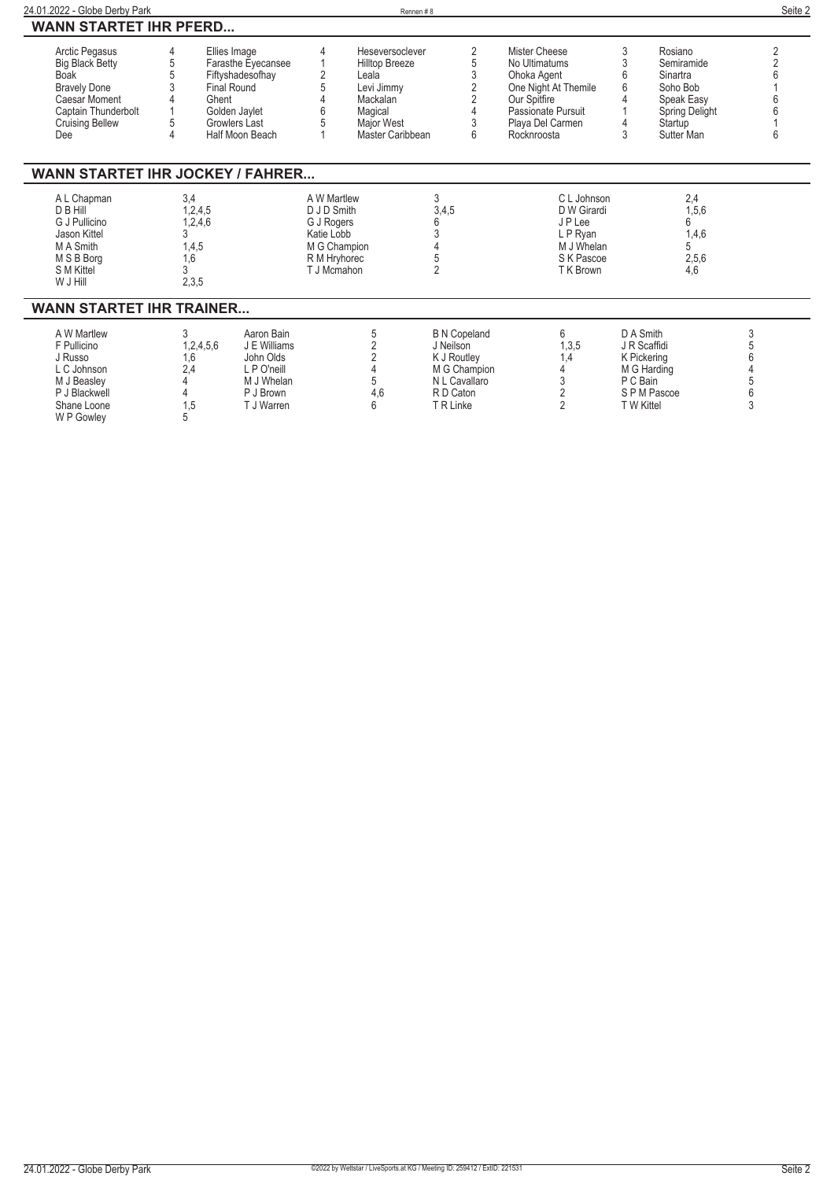| 24.01.2022 - Globe Derby Park                                                                                                                                  |                                                              |                                                                                                 |                                                                                                       | Rennen#8                                                                                                                 |                                                                                                            |                                                                                                                                                |                                     |                                                                                                        |                            | Seite 2 |
|----------------------------------------------------------------------------------------------------------------------------------------------------------------|--------------------------------------------------------------|-------------------------------------------------------------------------------------------------|-------------------------------------------------------------------------------------------------------|--------------------------------------------------------------------------------------------------------------------------|------------------------------------------------------------------------------------------------------------|------------------------------------------------------------------------------------------------------------------------------------------------|-------------------------------------|--------------------------------------------------------------------------------------------------------|----------------------------|---------|
| <b>WANN STARTET IHR PFERD</b>                                                                                                                                  |                                                              |                                                                                                 |                                                                                                       |                                                                                                                          |                                                                                                            |                                                                                                                                                |                                     |                                                                                                        |                            |         |
| Arctic Pegasus<br><b>Big Black Betty</b><br><b>Boak</b><br><b>Bravely Done</b><br><b>Caesar Moment</b><br>Captain Thunderbolt<br><b>Cruising Bellew</b><br>Dee | Ellies Image<br><b>Final Round</b><br>Ghent                  | Farasthe Eyecansee<br>Fiftyshadesofhay<br>Golden Jaylet<br>Growlers Last<br>Half Moon Beach     | 4<br>$\overline{2}$                                                                                   | Heseversoclever<br><b>Hilltop Breeze</b><br>Leala<br>Levi Jimmy<br>Mackalan<br>Magical<br>Major West<br>Master Caribbean | 2<br>5<br>3<br>$\overline{2}$<br>$\overline{2}$<br>3<br>6                                                  | Mister Cheese<br>No Ultimatums<br>Ohoka Agent<br>One Night At Themile<br>Our Spitfire<br>Passionate Pursuit<br>Playa Del Carmen<br>Rocknroosta | 3<br>3<br>6<br>6<br>4<br>3          | Rosiano<br>Semiramide<br>Sinartra<br>Soho Bob<br>Speak Easy<br>Spring Delight<br>Startup<br>Sutter Man | 6                          | 2       |
| <b>WANN STARTET IHR JOCKEY / FAHRER</b>                                                                                                                        |                                                              |                                                                                                 |                                                                                                       |                                                                                                                          |                                                                                                            |                                                                                                                                                |                                     |                                                                                                        |                            |         |
| A L Chapman<br>D B Hill<br>G J Pullicino<br>Jason Kittel<br>M A Smith<br>M S B Borg<br>S M Kittel<br>W J Hill                                                  | 3,4<br>1,2,4,5<br>1,2,4,6<br>3<br>1,4,5<br>1,6<br>3<br>2,3,5 |                                                                                                 | A W Martlew<br>D J D Smith<br>G J Rogers<br>Katie Lobb<br>M G Champion<br>R M Hryhorec<br>T J Mcmahon |                                                                                                                          | 3<br>3,4,5<br>6<br>3<br>5<br>$\overline{2}$                                                                | C L Johnson<br>D W Girardi<br>JP Lee<br>L P Ryan<br>M J Whelan<br>S K Pascoe<br>T K Brown                                                      |                                     | 2,4<br>1,5,6<br>6<br>1,4,6<br>5<br>2,5,6<br>4,6                                                        |                            |         |
| <b>WANN STARTET IHR TRAINER</b>                                                                                                                                |                                                              |                                                                                                 |                                                                                                       |                                                                                                                          |                                                                                                            |                                                                                                                                                |                                     |                                                                                                        |                            |         |
| A W Martlew<br>F Pullicino<br>J Russo<br>L C Johnson<br>M J Beasley<br>P J Blackwell<br>Shane Loone<br>W P Gowley                                              | 3<br>1,2,4,5,6<br>1,6<br>2,4<br>1,5<br>5                     | Aaron Bain<br>J E Williams<br>John Olds<br>L P O'neill<br>M J Whelan<br>P J Brown<br>T J Warren |                                                                                                       | 5<br>$\overline{2}$<br>$\overline{2}$<br>5<br>4,6<br>6                                                                   | <b>B N Copeland</b><br>J Neilson<br>K J Routley<br>M G Champion<br>N L Cavallaro<br>R D Caton<br>T R Linke | 6<br>1,3,5<br>1,4<br>3<br>2<br>$\overline{2}$                                                                                                  | D A Smith<br>P C Bain<br>T W Kittel | J R Scaffidi<br>K Pickering<br>M G Harding<br>SPM Pascoe                                               | 3<br>5<br>6<br>5<br>6<br>3 |         |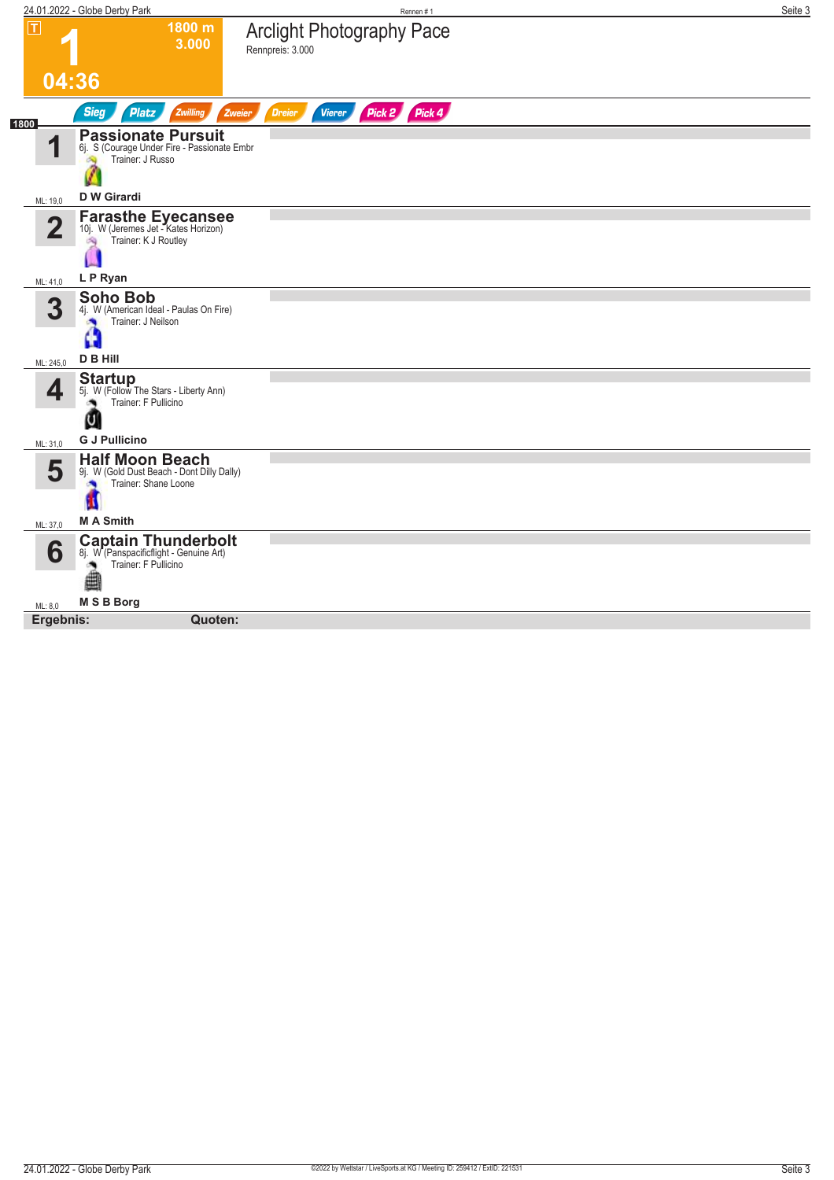| 1800 m<br><b>Arclight Photography Pace</b><br>3.000<br>Rennpreis: 3.000<br>04:36<br>Pick 2 Pick 4<br><b>Sieg</b><br>Zwilling<br><b>Platz</b><br><b>Dreier</b><br><b>Vierer</b><br>Zweier<br><b>Passionate Pursuit</b><br>и<br>6j. S (Courage Under Fire - Passionate Embr<br>Trainer: J Russo<br><b>D W Girardi</b><br>ML: 19,0<br><b>Farasthe Eyecansee</b><br>10j. W (Jeremes Jet - Kates Horizon)<br>$\overline{\mathbf{2}}$<br>Trainer: K J Routley<br>淘<br>L P Ryan<br>ML: 41,0<br><b>Soho Bob</b><br>3<br>4j. W (American Ideal - Paulas On Fire)<br>Trainer: J Neilson<br>D B Hill<br>ML: 245,0<br><b>Startup</b><br>4<br>5j. W (Follow The Stars - Liberty Ann)<br>Trainer: F Pullicino<br>U<br><b>G J Pullicino</b><br>ML: 31,0<br><b>Half Moon Beach</b><br>5<br>9j. W (Gold Dust Beach - Dont Dilly Dally)<br>Trainer: Shane Loone<br>×<br><b>MA Smith</b><br>ML: 37,0<br><b>Captain Thunderbolt</b><br>6<br>8j. W (Panspacificflight - Genuine Art)<br>Trainer: F Pullicino<br>M S B Borg<br>ML: 8,0<br>Ergebnis:<br>Quoten: |                | 24.01.2022 - Globe Derby Park | Rennen #1 | Seite 3 |
|------------------------------------------------------------------------------------------------------------------------------------------------------------------------------------------------------------------------------------------------------------------------------------------------------------------------------------------------------------------------------------------------------------------------------------------------------------------------------------------------------------------------------------------------------------------------------------------------------------------------------------------------------------------------------------------------------------------------------------------------------------------------------------------------------------------------------------------------------------------------------------------------------------------------------------------------------------------------------------------------------------------------------------------|----------------|-------------------------------|-----------|---------|
|                                                                                                                                                                                                                                                                                                                                                                                                                                                                                                                                                                                                                                                                                                                                                                                                                                                                                                                                                                                                                                          | $ \mathsf{T} $ |                               |           |         |
|                                                                                                                                                                                                                                                                                                                                                                                                                                                                                                                                                                                                                                                                                                                                                                                                                                                                                                                                                                                                                                          |                |                               |           |         |
|                                                                                                                                                                                                                                                                                                                                                                                                                                                                                                                                                                                                                                                                                                                                                                                                                                                                                                                                                                                                                                          | 1800           |                               |           |         |
|                                                                                                                                                                                                                                                                                                                                                                                                                                                                                                                                                                                                                                                                                                                                                                                                                                                                                                                                                                                                                                          |                |                               |           |         |
|                                                                                                                                                                                                                                                                                                                                                                                                                                                                                                                                                                                                                                                                                                                                                                                                                                                                                                                                                                                                                                          |                |                               |           |         |
|                                                                                                                                                                                                                                                                                                                                                                                                                                                                                                                                                                                                                                                                                                                                                                                                                                                                                                                                                                                                                                          |                |                               |           |         |
|                                                                                                                                                                                                                                                                                                                                                                                                                                                                                                                                                                                                                                                                                                                                                                                                                                                                                                                                                                                                                                          |                |                               |           |         |
|                                                                                                                                                                                                                                                                                                                                                                                                                                                                                                                                                                                                                                                                                                                                                                                                                                                                                                                                                                                                                                          |                |                               |           |         |
|                                                                                                                                                                                                                                                                                                                                                                                                                                                                                                                                                                                                                                                                                                                                                                                                                                                                                                                                                                                                                                          |                |                               |           |         |
|                                                                                                                                                                                                                                                                                                                                                                                                                                                                                                                                                                                                                                                                                                                                                                                                                                                                                                                                                                                                                                          |                |                               |           |         |
|                                                                                                                                                                                                                                                                                                                                                                                                                                                                                                                                                                                                                                                                                                                                                                                                                                                                                                                                                                                                                                          |                |                               |           |         |
|                                                                                                                                                                                                                                                                                                                                                                                                                                                                                                                                                                                                                                                                                                                                                                                                                                                                                                                                                                                                                                          |                |                               |           |         |
|                                                                                                                                                                                                                                                                                                                                                                                                                                                                                                                                                                                                                                                                                                                                                                                                                                                                                                                                                                                                                                          |                |                               |           |         |
|                                                                                                                                                                                                                                                                                                                                                                                                                                                                                                                                                                                                                                                                                                                                                                                                                                                                                                                                                                                                                                          |                |                               |           |         |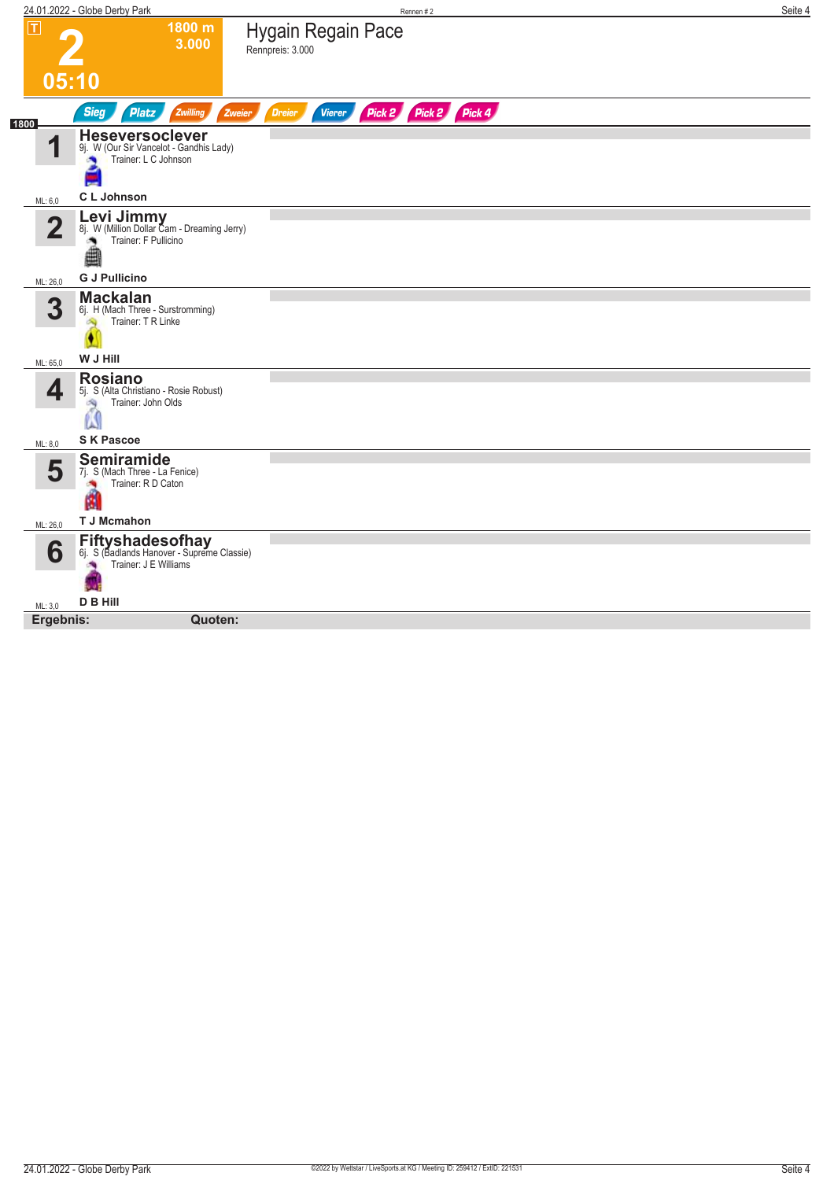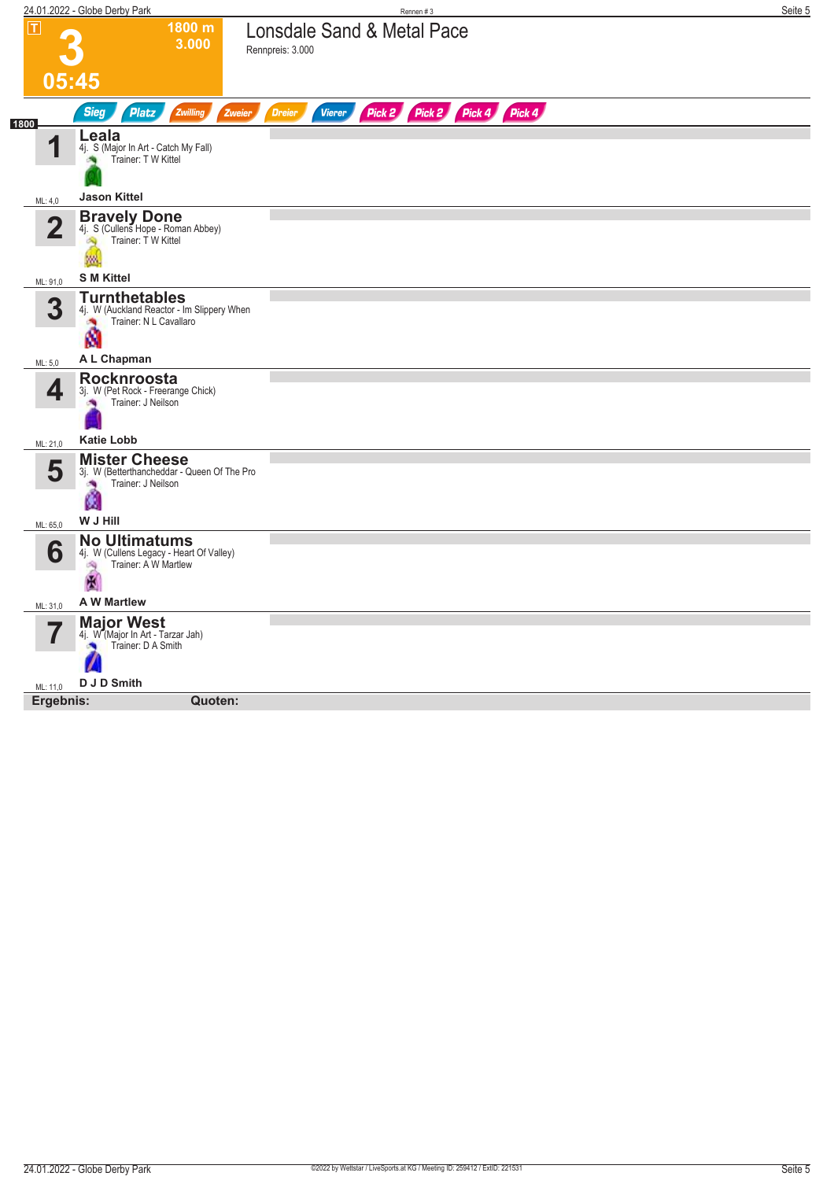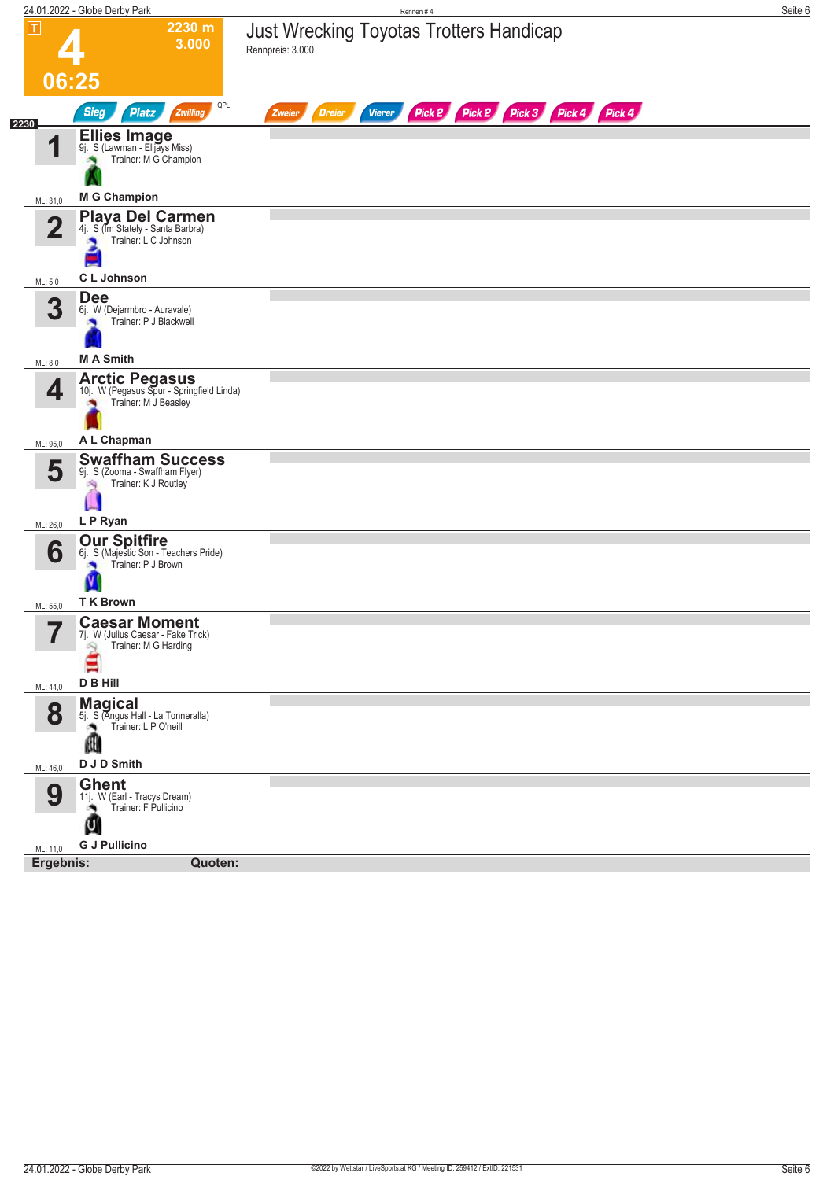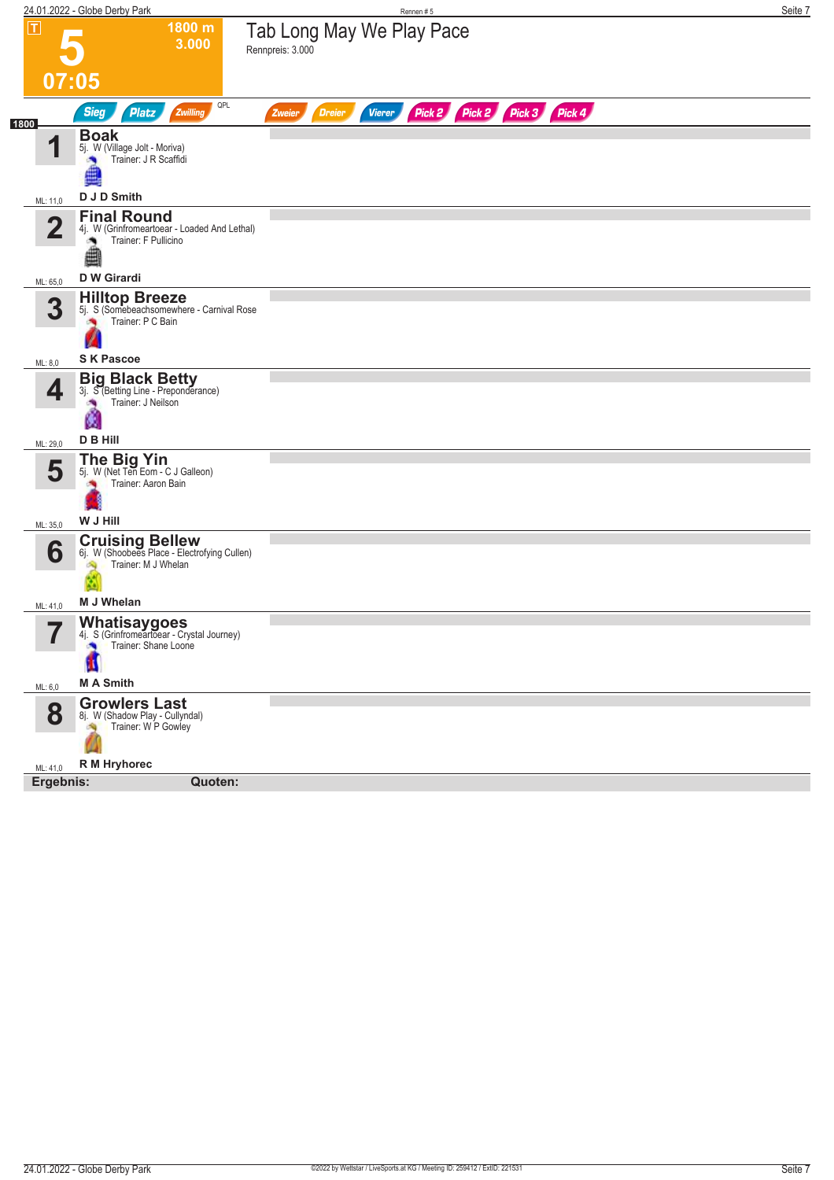